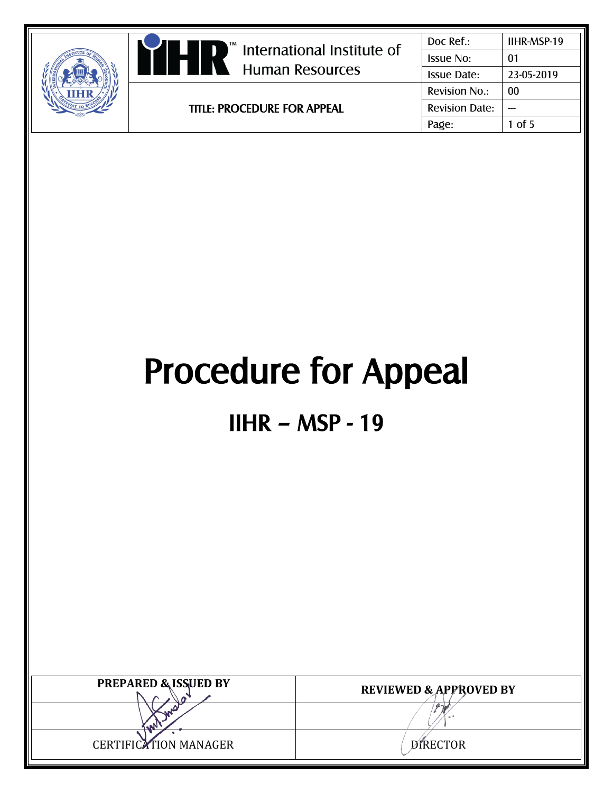|  | International Institute of<br><b>Human Resources</b> | Doc Ref.:                                  | IIHR-MSP-19 |
|--|------------------------------------------------------|--------------------------------------------|-------------|
|  |                                                      | <b>Issue No:</b>                           | 01          |
|  |                                                      | <b>Issue Date:</b>                         | 23-05-2019  |
|  |                                                      | <b>Revision No.:</b>                       | 00          |
|  | <b>TITLE: PROCEDURE FOR APPEAL</b>                   | <b>Revision Date:</b><br>$1$ of 5<br>Page: |             |
|  |                                                      |                                            |             |

# Procedure for Appeal

## IIHR – MSP - 19

| <b>PREPARED &amp; ISSUED BY</b> | <b>REVIEWED &amp; APPROVED BY</b> |
|---------------------------------|-----------------------------------|
|                                 |                                   |
| <b>CERTIFICATION MANAGER</b>    | <b>DIRECTOR</b>                   |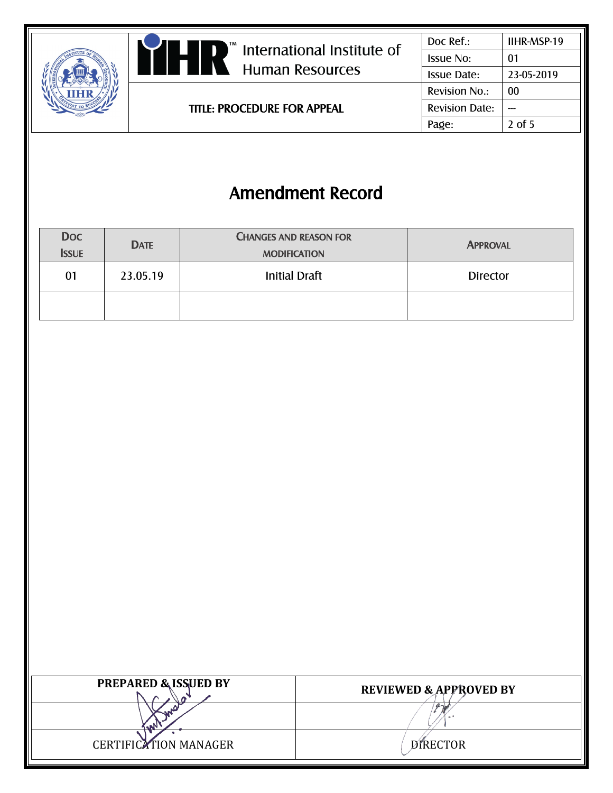



TITLE: PROCEDURE FOR APPEAL

| IIHR-MSP-19 |
|-------------|
| 01          |
| 23-05-2019  |
| 00          |
|             |
| $2$ of 5    |
|             |

### Amendment Record

| <b>Doc</b><br><b>ISSUE</b> | <b>DATE</b> | <b>CHANGES AND REASON FOR</b><br><b>MODIFICATION</b> | <b>APPROVAL</b> |
|----------------------------|-------------|------------------------------------------------------|-----------------|
| 01                         | 23.05.19    | <b>Initial Draft</b>                                 | <b>Director</b> |
|                            |             |                                                      |                 |

| <b>PREPARED &amp; ISSUED BY</b> | <b>REVIEWED &amp; APPROVED BY</b> |
|---------------------------------|-----------------------------------|
|                                 |                                   |
| <b>CERTIFICATION MANAGER</b>    | <b>DIRECTOR</b>                   |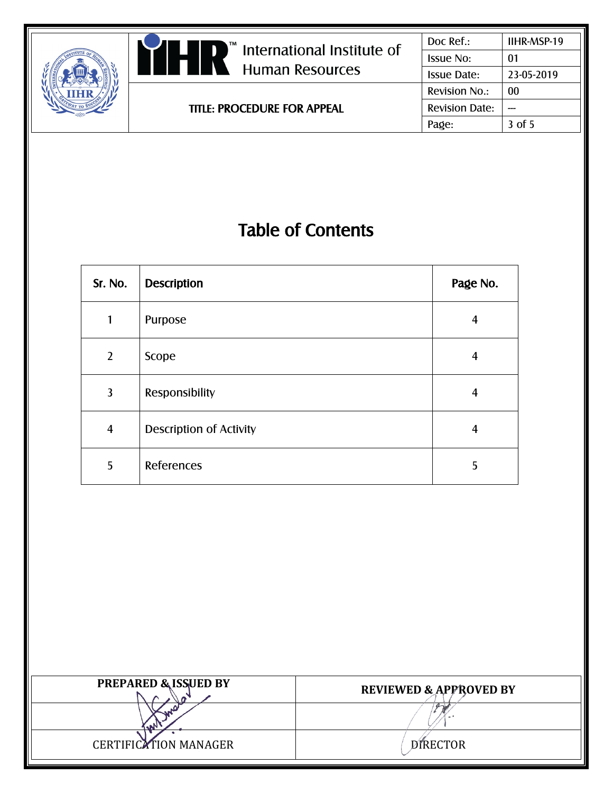| <b>Revision No.:</b><br>00<br><b>Revision Date:</b><br><b>TITLE: PROCEDURE FOR APPEAL</b><br>3 of 5<br>Page: |  | Im International Institute of<br>$\blacksquare$<br>H<br>$\blacksquare$ Human Resources | Doc Ref.:<br><b>Issue No:</b><br><b>Issue Date:</b> | IIHR-MSP-19<br>01<br>23-05-2019 |
|--------------------------------------------------------------------------------------------------------------|--|----------------------------------------------------------------------------------------|-----------------------------------------------------|---------------------------------|
|                                                                                                              |  |                                                                                        |                                                     |                                 |
|                                                                                                              |  |                                                                                        |                                                     |                                 |
|                                                                                                              |  |                                                                                        |                                                     |                                 |

## Table of Contents

| Sr. No.        | <b>Description</b>             | Page No. |
|----------------|--------------------------------|----------|
| 1              | Purpose                        | 4        |
| $\overline{2}$ | Scope                          | 4        |
| 3              | Responsibility                 | 4        |
| $\overline{4}$ | <b>Description of Activity</b> | 4        |
| 5              | References                     | 5        |

| <b>PREPARED &amp; ISSUED BY</b> | <b>REVIEWED &amp; APPROVED BY</b> |
|---------------------------------|-----------------------------------|
|                                 |                                   |
| <b>CERTIFICATION MANAGER</b>    | <b>DIRECTOR</b>                   |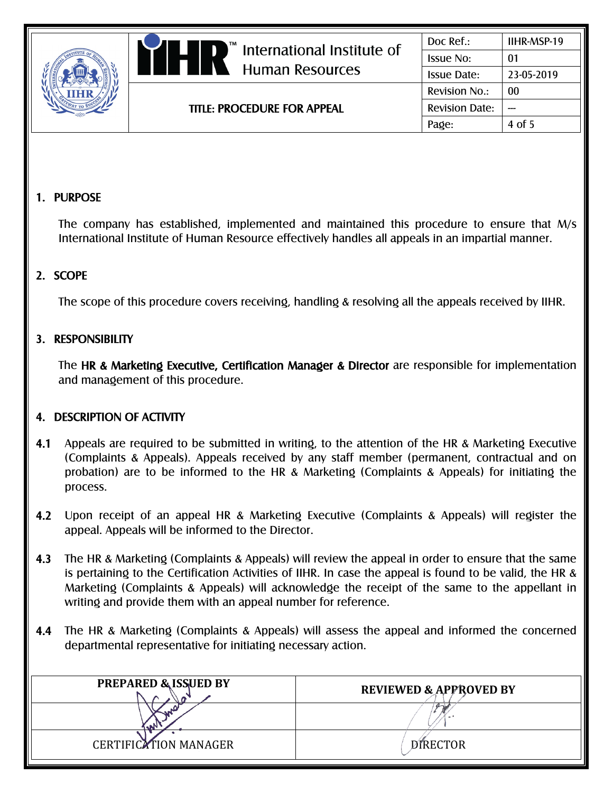**Human Resources** 

TITLE: PROCEDURE FOR APPEAL

#### 1. PURPOSE

The company has established, implemented and maintained this procedure to ensure that M/s International Institute of Human Resource effectively handles all appeals in an impartial manner.

#### 2. SCOPE

The scope of this procedure covers receiving, handling & resolving all the appeals received by IIHR.

#### 3. RESPONSIBILITY

The HR & Marketing Executive, Certification Manager & Director are responsible for implementation and management of this procedure.

#### 4. DESCRIPTION OF ACTIVITY

- 4.1 Appeals are required to be submitted in writing, to the attention of the HR & Marketing Executive (Complaints & Appeals). Appeals received by any staff member (permanent, contractual and on probation) are to be informed to the HR & Marketing (Complaints & Appeals) for initiating the process.
- 4.2 Upon receipt of an appeal HR & Marketing Executive (Complaints & Appeals) will register the appeal. Appeals will be informed to the Director.
- 4.3 The HR & Marketing (Complaints & Appeals) will review the appeal in order to ensure that the same is pertaining to the Certification Activities of IIHR. In case the appeal is found to be valid, the HR & Marketing (Complaints & Appeals) will acknowledge the receipt of the same to the appellant in writing and provide them with an appeal number for reference.
- 4.4 The HR & Marketing (Complaints & Appeals) will assess the appeal and informed the concerned departmental representative for initiating necessary action.

| <b>PREPARED &amp; ISSUED BY</b> | <b>REVIEWED &amp; APPROVED BY</b> |
|---------------------------------|-----------------------------------|
|                                 | $\alpha$                          |
| <b>CERTIFICATION MANAGER</b>    | <b>DIRECTOR</b>                   |